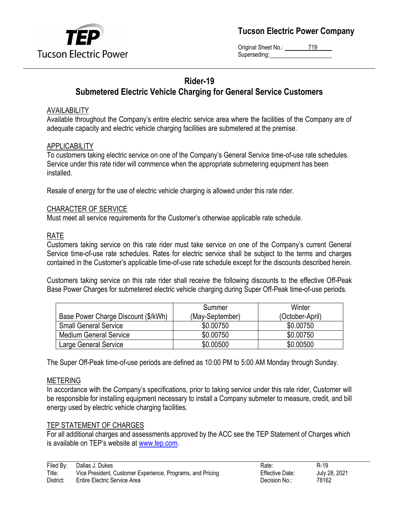

**Tucson Electric Power Company**

Original Sheet No.: 719 Superseding:

# **Rider-19 Submetered Electric Vehicle Charging for General Service Customers**

#### AVAILABILITY

Available throughout the Company's entire electric service area where the facilities of the Company are of adequate capacity and electric vehicle charging facilities are submetered at the premise.

#### APPLICABILITY

To customers taking electric service on one of the Company's General Service time-of-use rate schedules. Service under this rate rider will commence when the appropriate submetering equipment has been installed.

Resale of energy for the use of electric vehicle charging is allowed under this rate rider.

#### CHARACTER OF SERVICE

Must meet all service requirements for the Customer's otherwise applicable rate schedule.

### RATE

Customers taking service on this rate rider must take service on one of the Company's current General Service time-of-use rate schedules. Rates for electric service shall be subject to the terms and charges contained in the Customer's applicable time-of-use rate schedule except for the discounts described herein.

Customers taking service on this rate rider shall receive the following discounts to the effective Off-Peak Base Power Charges for submetered electric vehicle charging during Super Off-Peak time-of-use periods.

|                                     | Summer          | Winter          |
|-------------------------------------|-----------------|-----------------|
| Base Power Charge Discount (\$/kWh) | (May-September) | (October-April) |
| <b>Small General Service</b>        | \$0.00750       | \$0.00750       |
| <b>Medium General Service</b>       | \$0.00750       | \$0.00750       |
| Large General Service               | \$0.00500       | \$0.00500       |

The Super Off-Peak time-of-use periods are defined as 10:00 PM to 5:00 AM Monday through Sunday.

### METERING

In accordance with the Company's specifications, prior to taking service under this rate rider, Customer will be responsible for installing equipment necessary to install a Company submeter to measure, credit, and bill energy used by electric vehicle charging facilities.

### TEP STATEMENT OF CHARGES

For all additional charges and assessments approved by the ACC see the TEP Statement of Charges which is available on TEP's website at [www.tep.com.](http://www.tep.com/)